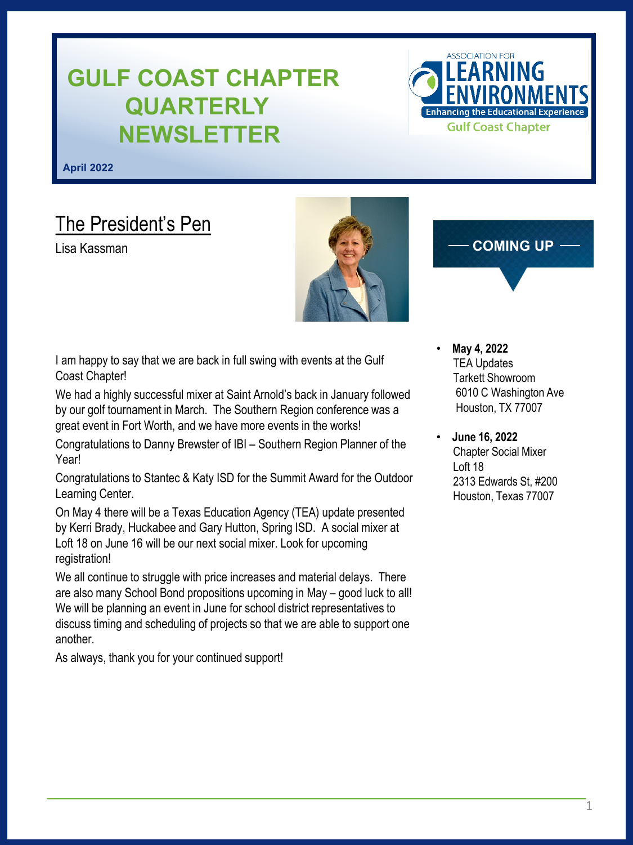# **GULF COAST CHAPTER QUARTERLY NEWSLETTER**

ASSOCIATION EOP **Enhancing the Educational Experience Gulf Coast Chapter** 

**April 2022**

# The President's Pen

Lisa Kassman



### **COMING UP**

I am happy to say that we are back in full swing with events at the Gulf Coast Chapter!

We had a highly successful mixer at Saint Arnold's back in January followed by our golf tournament in March. The Southern Region conference was a great event in Fort Worth, and we have more events in the works!

Congratulations to Danny Brewster of IBI – Southern Region Planner of the Year!

Congratulations to Stantec & Katy ISD for the Summit Award for the Outdoor Learning Center.

On May 4 there will be a Texas Education Agency (TEA) update presented by Kerri Brady, Huckabee and Gary Hutton, Spring ISD. A social mixer at Loft 18 on June 16 will be our next social mixer. Look for upcoming registration!

We all continue to struggle with price increases and material delays. There are also many School Bond propositions upcoming in May – good luck to all! We will be planning an event in June for school district representatives to discuss timing and scheduling of projects so that we are able to support one another.

As always, thank you for your continued support!

- **May 4, 2022** TEA Updates Tarkett Showroom 6010 C Washington Ave Houston, TX 77007
- **June 16, 2022** Chapter Social Mixer Loft 18 2313 Edwards St, #200 Houston, Texas 77007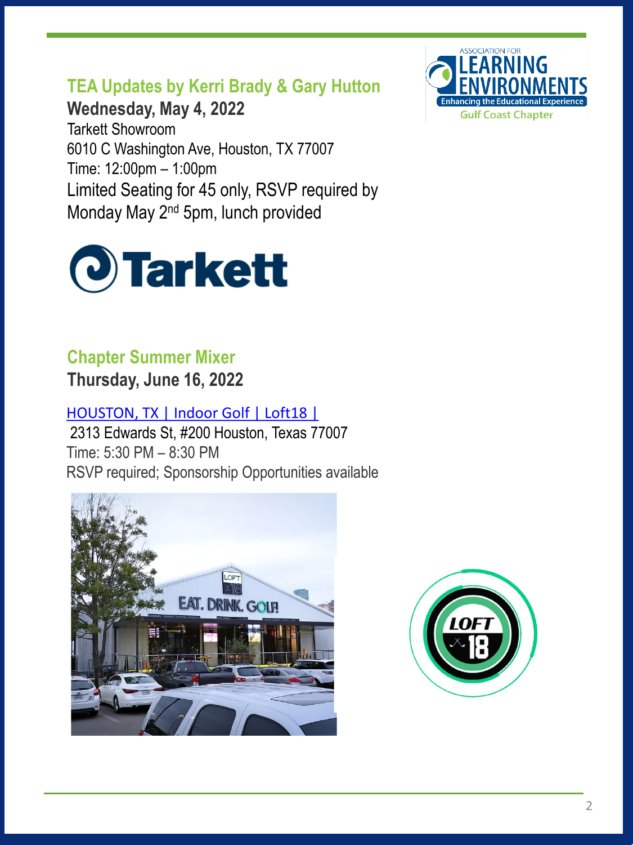**TEA Updates by Kerri Brady & Gary Hutton**

**Wednesday, May 4, 2022** Tarkett Showroom 6010 C Washington Ave, Houston, TX 77007 Time: 12:00pm – 1:00pm Limited Seating for 45 only, RSVP required by Monday May 2nd 5pm, lunch provided



## **Chapter Summer Mixer**

**Thursday, June 16, 2022**

[HOUSTON, TX | Indoor Golf | Loft18 |](https://www.loft18.com/houston)

2313 Edwards St, #200 Houston, Texas 77007 Time: 5:30 PM – 8:30 PM RSVP required; Sponsorship Opportunities available





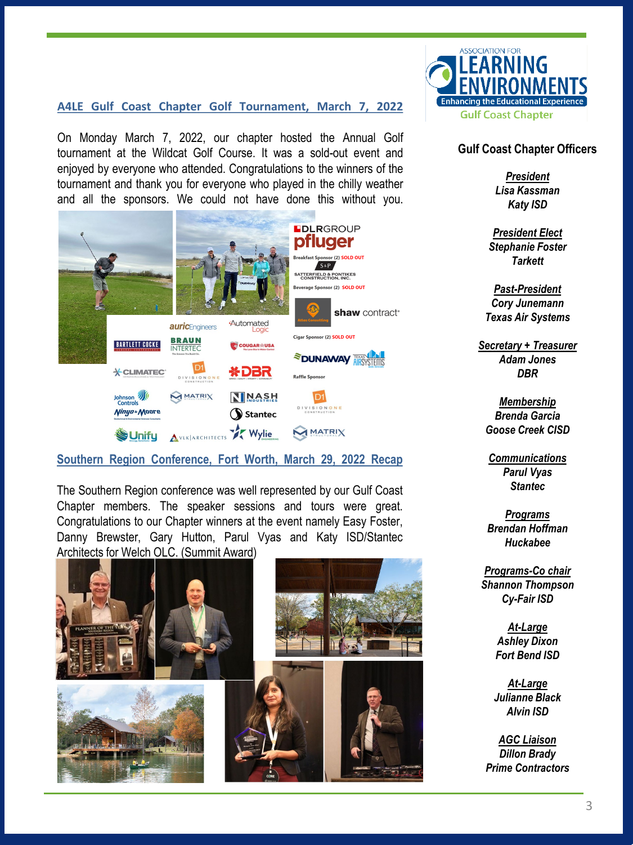#### **A4LE Gulf Coast Chapter Golf Tournament, March 7, 2022**

On Monday March 7, 2022, our chapter hosted the Annual Golf tournament at the Wildcat Golf Course. It was a sold-out event and enjoyed by everyone who attended. Congratulations to the winners of the tournament and thank you for everyone who played in the chilly weather and all the sponsors. We could not have done this without you.



#### **Southern Region Conference, Fort Worth, March 29, 2022 Recap**

The Southern Region conference was well represented by our Gulf Coast Chapter members. The speaker sessions and tours were great. Congratulations to our Chapter winners at the event namely Easy Foster, Danny Brewster, Gary Hutton, Parul Vyas and Katy ISD/Stantec Architects for Welch OLC. (Summit Award)





#### **Gulf Coast Chapter Officers**

*President Lisa Kassman Katy ISD* 

*President Elect Stephanie Foster Tarkett*

*Past-President Cory Junemann Texas Air Systems*

*Secretary + Treasurer Adam Jones DBR*

*Membership Brenda Garcia Goose Creek CISD*

*Communications Parul Vyas Stantec*

*Programs Brendan Hoffman Huckabee*

*Programs-Co chair Shannon Thompson Cy-Fair ISD*

> *At-Large Ashley Dixon Fort Bend ISD*

*At-Large Julianne Black Alvin ISD*

*AGC Liaison Dillon Brady Prime Contractors*